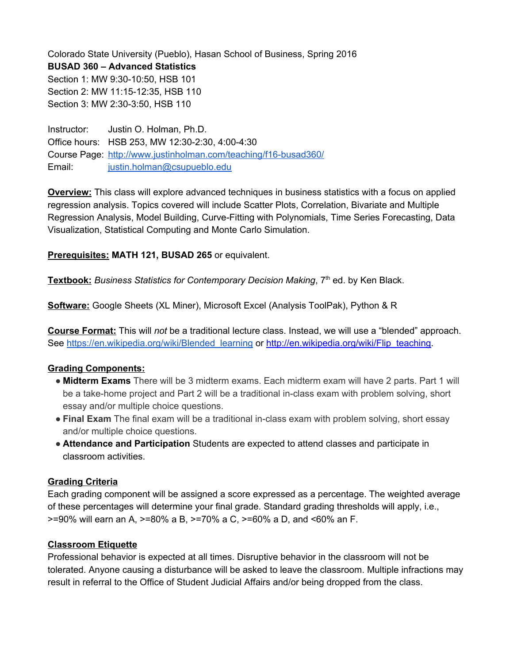Colorado State University (Pueblo), Hasan School of Business, Spring 2016 **BUSAD 360 – Advanced Statistics** Section 1: MW 9:30-10:50, HSB 101 Section 2: MW 11:15-12:35, HSB 110 Section 3: MW 2:30-3:50, HSB 110

Instructor: Justin O. Holman, Ph.D. Office hours: HSB 253, MW 12:30-2:30, 4:00-4:30 Course Page: http://www.justinholman.com/teaching/f16-busad360/ Email: [justin.holman@csupueblo.edu](mailto:justin.holman@csupueblo.edu)

**Overview:**This class will explore advanced techniques in business statistics with a focus on applied regression analysis. Topics covered will include Scatter Plots, Correlation, Bivariate and Multiple Regression Analysis, Model Building, Curve-Fitting with Polynomials, Time Series Forecasting, Data Visualization, Statistical Computing and Monte Carlo Simulation.

**Prerequisites:MATH 121, BUSAD 265**or equivalent.

**Textbook:***Business Statistics for Contemporary Decision Making*, 7 th ed. by Ken Black.

**Software:**Google Sheets (XL Miner), Microsoft Excel (Analysis ToolPak), Python & R

**Course Format:**This will *not* be a traditional lecture class. Instead, we will use a "blended" approach. See [https://en.wikipedia.org/wiki/Blended\\_learning](https://en.wikipedia.org/wiki/Blended_learning) or [http://en.wikipedia.org/wiki/Flip\\_teaching.](http://en.wikipedia.org/wiki/Flip_teaching)

# **Grading Components:**

- **Midterm Exams** There will be 3 midterm exams. Each midterm exam will have 2 parts. Part 1 will be a take-home project and Part 2 will be a traditional in-class exam with problem solving, short essay and/or multiple choice questions.
- **Final Exam** The final exam will be a traditional in-class exam with problem solving, short essay and/or multiple choice questions.
- **● Attendance and Participation**Students are expected to attend classes and participate in classroom activities.

# **Grading Criteria**

Each grading component will be assigned a score expressed as a percentage. The weighted average of these percentages will determine your final grade. Standard grading thresholds will apply, i.e., >=90% will earn an A, >=80% a B, >=70% a C, >=60% a D, and <60% an F.

# **Classroom Etiquette**

Professional behavior is expected at all times. Disruptive behavior in the classroom will not be tolerated. Anyone causing a disturbance will be asked to leave the classroom. Multiple infractions may result in referral to the Office of Student Judicial Affairs and/or being dropped from the class.